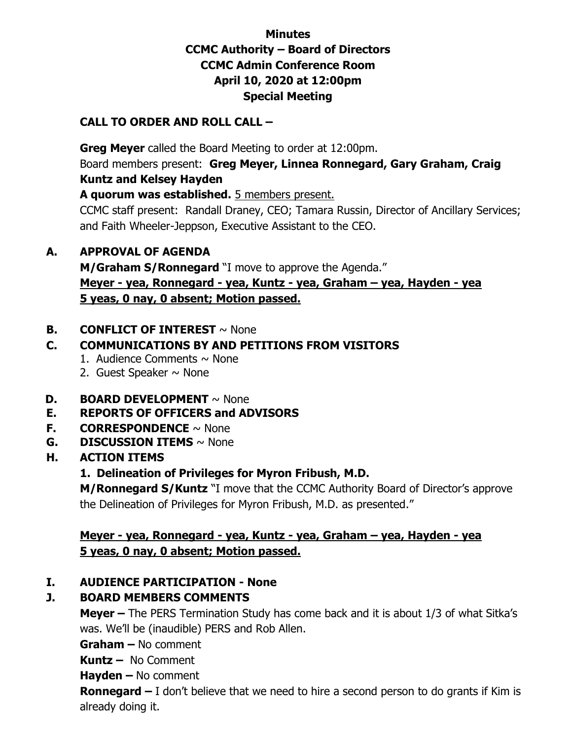## **Minutes CCMC Authority – Board of Directors CCMC Admin Conference Room April 10, 2020 at 12:00pm Special Meeting**

#### **CALL TO ORDER AND ROLL CALL –**

 **Greg Meyer** called the Board Meeting to order at 12:00pm. Board members present: **Greg Meyer, Linnea Ronnegard, Gary Graham, Craig Kuntz and Kelsey Hayden** 

**A quorum was established.** 5 members present.

CCMC staff present: Randall Draney, CEO; Tamara Russin, Director of Ancillary Services; and Faith Wheeler-Jeppson, Executive Assistant to the CEO.

#### **A. APPROVAL OF AGENDA**

**M/Graham S/Ronnegard** "I move to approve the Agenda." **Meyer - yea, Ronnegard - yea, Kuntz - yea, Graham – yea, Hayden - yea 5 yeas, 0 nay, 0 absent; Motion passed.** 

#### **B. CONFLICT OF INTEREST** ~ None

# **C. COMMUNICATIONS BY AND PETITIONS FROM VISITORS**

- 1. Audience Comments  $\sim$  None
- 2. Guest Speaker  $\sim$  None
- **D. BOARD DEVELOPMENT**  $\sim$  None

## **E. REPORTS OF OFFICERS and ADVISORS**

- **F. CORRESPONDENCE** ~ None
- **G. DISCUSSION ITEMS** ~ None
- **H. ACTION ITEMS**

## **1. Delineation of Privileges for Myron Fribush, M.D.**

**M/Ronnegard S/Kuntz** "I move that the CCMC Authority Board of Director's approve the Delineation of Privileges for Myron Fribush, M.D. as presented."

#### **Meyer - yea, Ronnegard - yea, Kuntz - yea, Graham – yea, Hayden - yea 5 yeas, 0 nay, 0 absent; Motion passed.**

## **I. AUDIENCE PARTICIPATION - None**

## **J. BOARD MEMBERS COMMENTS**

**Meyer –** The PERS Termination Study has come back and it is about 1/3 of what Sitka's was. We'll be (inaudible) PERS and Rob Allen.

**Graham –** No comment

**Kuntz –** No Comment

**Hayden –** No comment

**Ronnegard –** I don't believe that we need to hire a second person to do grants if Kim is already doing it.